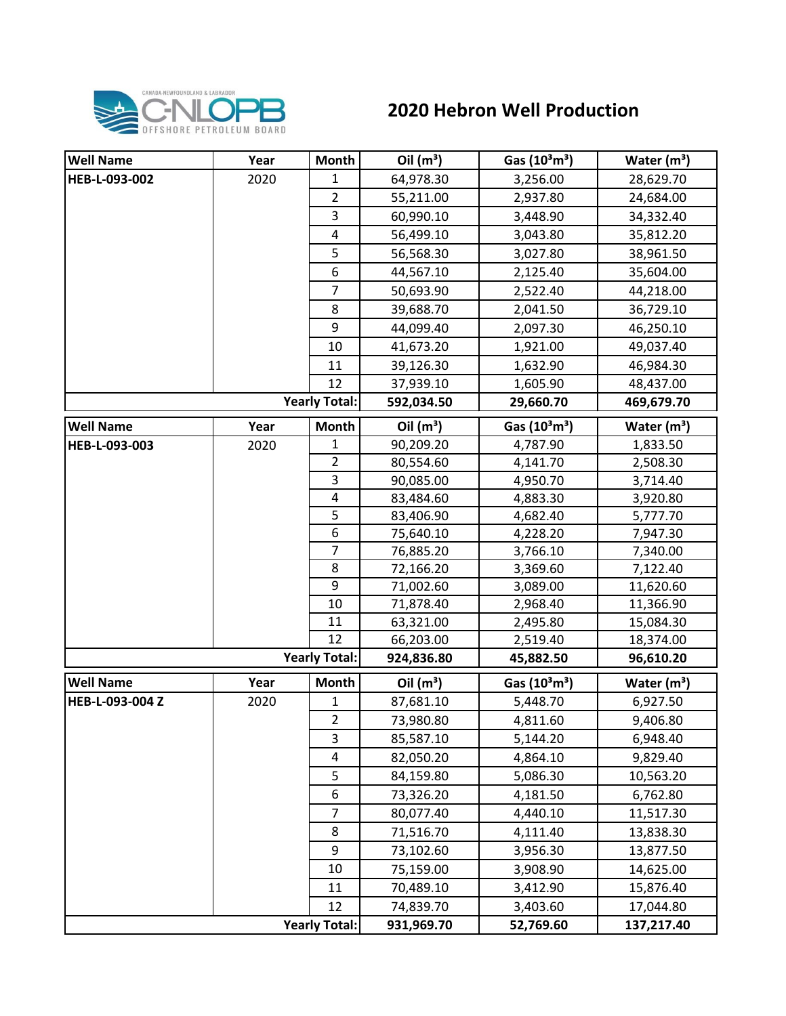

## **2020 Hebron Well Production**

| <b>Well Name</b> | Year | <b>Month</b>         | Oil $(m^3)$ | Gas $(10^3 \text{m}^3)$               | Water $(m^3)$ |
|------------------|------|----------------------|-------------|---------------------------------------|---------------|
| HEB-L-093-002    | 2020 | 1                    | 64,978.30   | 3,256.00                              | 28,629.70     |
|                  |      | $\overline{2}$       | 55,211.00   | 2,937.80                              | 24,684.00     |
|                  |      | 3                    | 60,990.10   | 3,448.90                              | 34,332.40     |
|                  |      | 4                    | 56,499.10   | 3,043.80                              | 35,812.20     |
|                  |      | 5                    | 56,568.30   | 3,027.80                              | 38,961.50     |
|                  |      | 6                    | 44,567.10   | 2,125.40                              | 35,604.00     |
|                  |      | $\overline{7}$       | 50,693.90   | 2,522.40                              | 44,218.00     |
|                  |      | 8                    | 39,688.70   | 2,041.50                              | 36,729.10     |
|                  |      | 9                    | 44,099.40   | 2,097.30                              | 46,250.10     |
|                  |      | 10                   | 41,673.20   | 1,921.00                              | 49,037.40     |
|                  |      | 11                   | 39,126.30   | 1,632.90                              | 46,984.30     |
|                  |      | 12                   | 37,939.10   | 1,605.90                              | 48,437.00     |
|                  |      | <b>Yearly Total:</b> | 592,034.50  | 29,660.70                             | 469,679.70    |
| <b>Well Name</b> | Year | <b>Month</b>         | Oil $(m^3)$ | Gas $(10^3 \text{m}^3)$               | Water $(m^3)$ |
| HEB-L-093-003    | 2020 | 1                    | 90,209.20   | 4,787.90                              | 1,833.50      |
|                  |      | $\overline{2}$       | 80,554.60   | 4,141.70                              | 2,508.30      |
|                  |      | 3                    | 90,085.00   | 4,950.70                              | 3,714.40      |
|                  |      | 4                    | 83,484.60   | 4,883.30                              | 3,920.80      |
|                  |      | 5                    | 83,406.90   | 4,682.40                              | 5,777.70      |
|                  |      | 6                    | 75,640.10   | 4,228.20                              | 7,947.30      |
|                  |      | 7                    | 76,885.20   | 3,766.10                              | 7,340.00      |
|                  |      | 8                    | 72,166.20   | 3,369.60                              | 7,122.40      |
|                  |      | 9                    | 71,002.60   | 3,089.00                              | 11,620.60     |
|                  |      | 10                   | 71,878.40   | 2,968.40                              | 11,366.90     |
|                  |      | 11                   | 63,321.00   | 2,495.80                              | 15,084.30     |
|                  |      | 12                   | 66,203.00   | 2,519.40                              | 18,374.00     |
|                  |      | <b>Yearly Total:</b> | 924,836.80  | 45,882.50                             | 96,610.20     |
| <b>Well Name</b> | Year | Month                | Oil $(m^3)$ | Gas (10 <sup>3</sup> m <sup>3</sup> ) | Water $(m3)$  |
| HEB-L-093-004 Z  | 2020 | 1                    | 87,681.10   | 5,448.70                              | 6,927.50      |
|                  |      | $\overline{2}$       | 73,980.80   | 4,811.60                              | 9,406.80      |
|                  |      | 3                    | 85,587.10   | 5,144.20                              | 6,948.40      |
|                  |      | 4                    | 82,050.20   | 4,864.10                              | 9,829.40      |
|                  |      | 5                    | 84,159.80   | 5,086.30                              | 10,563.20     |
|                  |      | 6                    | 73,326.20   | 4,181.50                              | 6,762.80      |
|                  |      | $\overline{7}$       | 80,077.40   | 4,440.10                              | 11,517.30     |
|                  |      | 8                    | 71,516.70   | 4,111.40                              | 13,838.30     |
|                  |      | 9                    | 73,102.60   | 3,956.30                              | 13,877.50     |
|                  |      | 10                   | 75,159.00   | 3,908.90                              | 14,625.00     |
|                  |      | 11                   | 70,489.10   | 3,412.90                              | 15,876.40     |
|                  |      | 12                   | 74,839.70   | 3,403.60                              | 17,044.80     |
|                  |      | <b>Yearly Total:</b> | 931,969.70  | 52,769.60                             | 137,217.40    |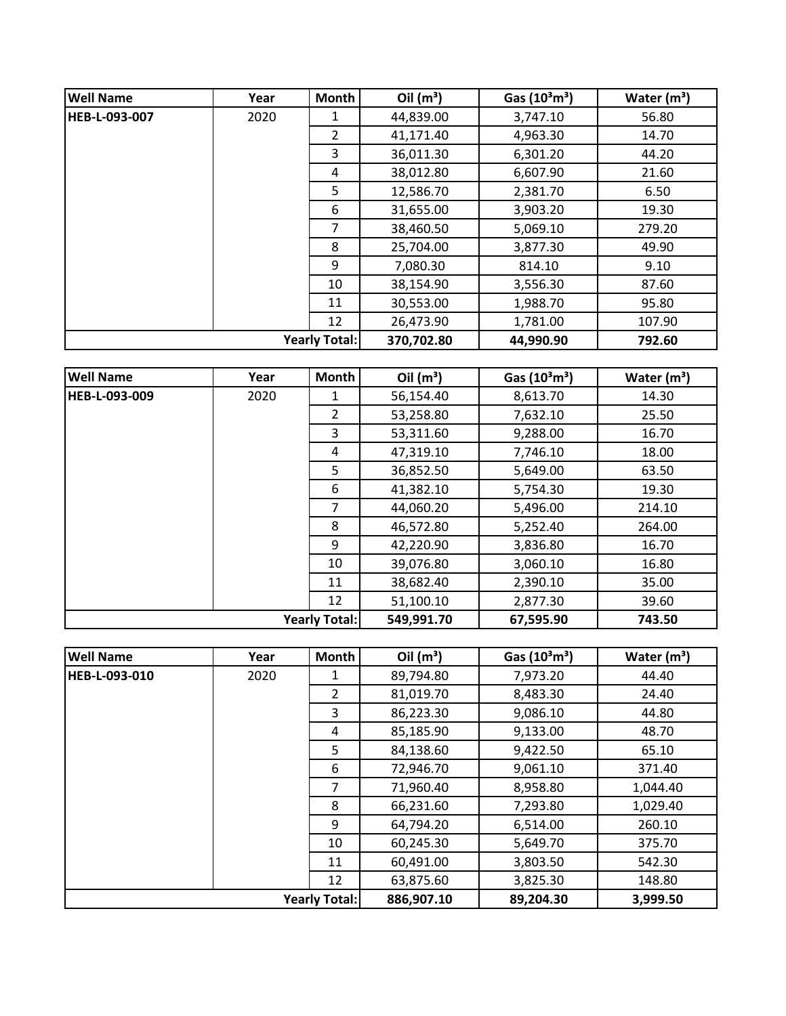| <b>Well Name</b> | Year | Month                | Oil $(m^3)$ | Gas $(10^3 \text{m}^3)$ | Water $(m^3)$ |
|------------------|------|----------------------|-------------|-------------------------|---------------|
| HEB-L-093-007    | 2020 | 1                    | 44,839.00   | 3,747.10                | 56.80         |
|                  |      | $\mathcal{P}$        | 41,171.40   | 4,963.30                | 14.70         |
|                  |      | 3                    | 36,011.30   | 6,301.20                | 44.20         |
|                  |      | 4                    | 38,012.80   | 6,607.90                | 21.60         |
|                  |      | 5                    | 12,586.70   | 2,381.70                | 6.50          |
|                  |      | 6                    | 31,655.00   | 3,903.20                | 19.30         |
|                  |      | 7                    | 38,460.50   | 5,069.10                | 279.20        |
|                  |      | 8                    | 25,704.00   | 3,877.30                | 49.90         |
|                  |      | 9                    | 7,080.30    | 814.10                  | 9.10          |
|                  |      | 10                   | 38,154.90   | 3,556.30                | 87.60         |
|                  |      | 11                   | 30,553.00   | 1,988.70                | 95.80         |
|                  |      | 12                   | 26,473.90   | 1,781.00                | 107.90        |
|                  |      | <b>Yearly Total:</b> | 370,702.80  | 44,990.90               | 792.60        |

| <b>Well Name</b> | Year | Month                | Oil $(m^3)$ | Gas $(10^3 \text{m}^3)$ | Water $(m^3)$ |
|------------------|------|----------------------|-------------|-------------------------|---------------|
| HEB-L-093-009    | 2020 | 1                    | 56,154.40   | 8,613.70                | 14.30         |
|                  |      | $\overline{2}$       | 53,258.80   | 7,632.10                | 25.50         |
|                  |      | 3                    | 53,311.60   | 9,288.00                | 16.70         |
|                  |      | 4                    | 47,319.10   | 7,746.10                | 18.00         |
|                  |      | 5                    | 36,852.50   | 5,649.00                | 63.50         |
|                  |      | 6                    | 41,382.10   | 5,754.30                | 19.30         |
|                  |      | $\overline{7}$       | 44,060.20   | 5,496.00                | 214.10        |
|                  |      | 8                    | 46,572.80   | 5,252.40                | 264.00        |
|                  |      | 9                    | 42,220.90   | 3,836.80                | 16.70         |
|                  |      | 10                   | 39,076.80   | 3,060.10                | 16.80         |
|                  |      | 11                   | 38,682.40   | 2,390.10                | 35.00         |
|                  |      | 12                   | 51,100.10   | 2,877.30                | 39.60         |
|                  |      | <b>Yearly Total:</b> | 549,991.70  | 67,595.90               | 743.50        |

| <b>Well Name</b>     | Year | <b>Month</b>   | Oil $(m^3)$ | Gas (10 <sup>3</sup> m <sup>3</sup> ) | Water $(m^3)$ |
|----------------------|------|----------------|-------------|---------------------------------------|---------------|
| <b>HEB-L-093-010</b> | 2020 | 1              | 89,794.80   | 7,973.20                              | 44.40         |
|                      |      | $\overline{2}$ | 81,019.70   | 8,483.30                              | 24.40         |
|                      |      | 3              | 86,223.30   | 9,086.10                              | 44.80         |
|                      |      | 4              | 85,185.90   | 9,133.00                              | 48.70         |
|                      |      | 5.             | 84,138.60   | 9,422.50                              | 65.10         |
|                      |      | 6              | 72,946.70   | 9,061.10                              | 371.40        |
|                      |      | 7              | 71,960.40   | 8,958.80                              | 1,044.40      |
|                      |      | 8              | 66,231.60   | 7,293.80                              | 1,029.40      |
|                      |      | 9              | 64,794.20   | 6,514.00                              | 260.10        |
|                      |      | 10             | 60,245.30   | 5,649.70                              | 375.70        |
|                      |      | 11             | 60,491.00   | 3,803.50                              | 542.30        |
|                      |      | 12             | 63,875.60   | 3,825.30                              | 148.80        |
| <b>Yearly Total:</b> |      |                | 886,907.10  | 89,204.30                             | 3,999.50      |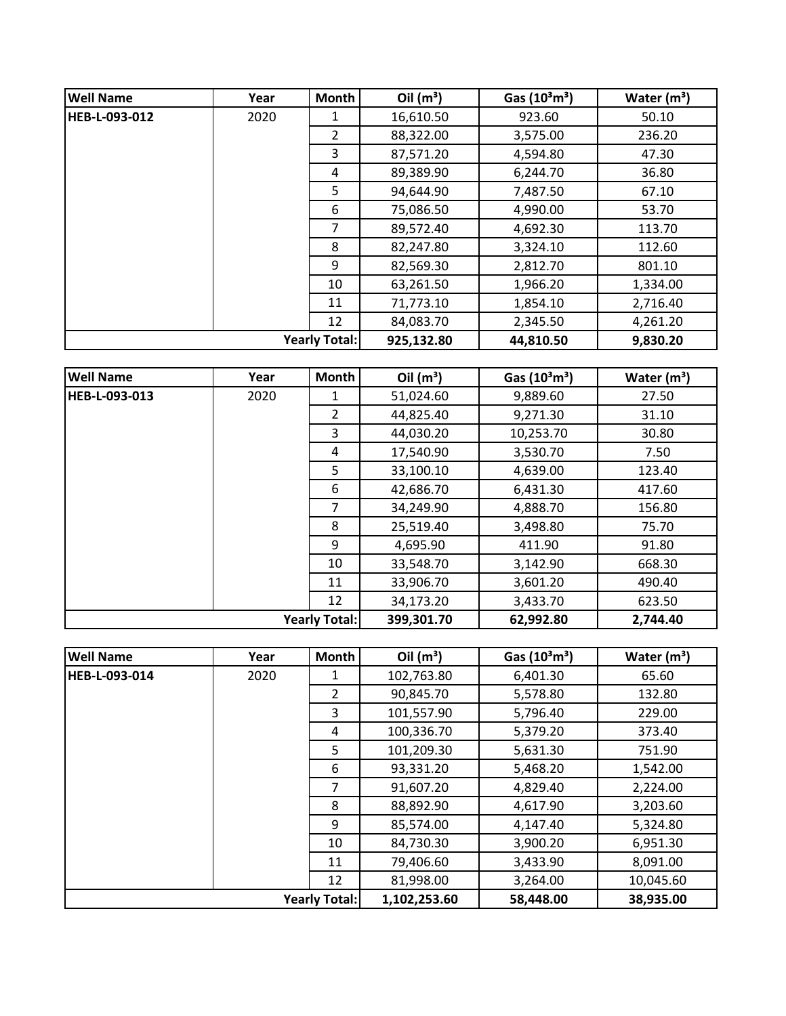| <b>Well Name</b>     | Year | <b>Month</b>         | Oil $(m^3)$ | Gas $(10^3 \text{m}^3)$ | Water $(m^3)$ |
|----------------------|------|----------------------|-------------|-------------------------|---------------|
| <b>HEB-L-093-012</b> | 2020 | 1                    | 16,610.50   | 923.60                  | 50.10         |
|                      |      | $\overline{2}$       | 88,322.00   | 3,575.00                | 236.20        |
|                      |      | 3                    | 87,571.20   | 4,594.80                | 47.30         |
|                      |      | 4                    | 89,389.90   | 6,244.70                | 36.80         |
|                      |      | 5                    | 94,644.90   | 7,487.50                | 67.10         |
|                      |      | 6                    | 75,086.50   | 4,990.00                | 53.70         |
|                      |      | 7                    | 89,572.40   | 4,692.30                | 113.70        |
|                      |      | 8                    | 82,247.80   | 3,324.10                | 112.60        |
|                      |      | 9                    | 82,569.30   | 2,812.70                | 801.10        |
|                      |      | 10                   | 63,261.50   | 1,966.20                | 1,334.00      |
|                      |      | 11                   | 71,773.10   | 1,854.10                | 2,716.40      |
|                      |      | 12                   | 84,083.70   | 2,345.50                | 4,261.20      |
|                      |      | <b>Yearly Total:</b> | 925,132.80  | 44,810.50               | 9,830.20      |

| <b>Well Name</b>     | Year | Month                | Oil $(m^3)$ | Gas $(10^3 \text{m}^3)$ | Water $(m^3)$ |
|----------------------|------|----------------------|-------------|-------------------------|---------------|
| <b>HEB-L-093-013</b> | 2020 | 1                    | 51,024.60   | 9,889.60                | 27.50         |
|                      |      | $\overline{2}$       | 44,825.40   | 9,271.30                | 31.10         |
|                      |      | 3                    | 44,030.20   | 10,253.70               | 30.80         |
|                      |      | 4                    | 17,540.90   | 3,530.70                | 7.50          |
|                      |      | 5                    | 33,100.10   | 4,639.00                | 123.40        |
|                      |      | 6                    | 42,686.70   | 6,431.30                | 417.60        |
|                      |      | $\overline{7}$       | 34,249.90   | 4,888.70                | 156.80        |
|                      |      | 8                    | 25,519.40   | 3,498.80                | 75.70         |
|                      |      | 9                    | 4,695.90    | 411.90                  | 91.80         |
|                      |      | 10                   | 33,548.70   | 3,142.90                | 668.30        |
|                      |      | 11                   | 33,906.70   | 3,601.20                | 490.40        |
|                      |      | 12                   | 34,173.20   | 3,433.70                | 623.50        |
|                      |      | <b>Yearly Total:</b> | 399,301.70  | 62,992.80               | 2,744.40      |

| <b>Well Name</b> | Year | <b>Month</b>         | Oil $(m^3)$  | Gas $(10^3 \text{m}^3)$ | Water $(m^3)$ |
|------------------|------|----------------------|--------------|-------------------------|---------------|
| HEB-L-093-014    | 2020 | 1                    | 102,763.80   | 6,401.30                | 65.60         |
|                  |      | $\overline{2}$       | 90,845.70    | 5,578.80                | 132.80        |
|                  |      | 3                    | 101,557.90   | 5,796.40                | 229.00        |
|                  |      | 4                    | 100,336.70   | 5,379.20                | 373.40        |
|                  |      | 5                    | 101,209.30   | 5,631.30                | 751.90        |
|                  |      | 6                    | 93,331.20    | 5,468.20                | 1,542.00      |
|                  |      | 7                    | 91,607.20    | 4,829.40                | 2,224.00      |
|                  |      | 8                    | 88,892.90    | 4,617.90                | 3,203.60      |
|                  |      | 9                    | 85,574.00    | 4,147.40                | 5,324.80      |
|                  |      | 10                   | 84,730.30    | 3,900.20                | 6,951.30      |
|                  |      | 11                   | 79,406.60    | 3,433.90                | 8,091.00      |
|                  |      | 12                   | 81,998.00    | 3,264.00                | 10,045.60     |
|                  |      | <b>Yearly Total:</b> | 1,102,253.60 | 58,448.00               | 38,935.00     |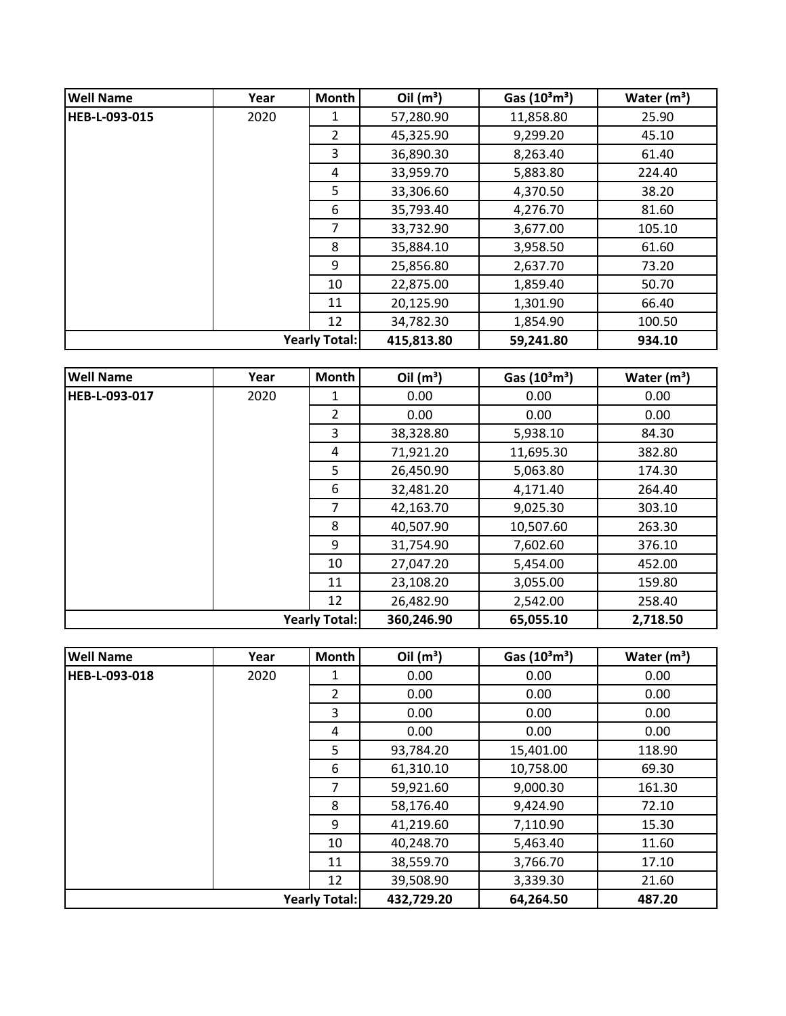| <b>Well Name</b>     | Year | <b>Month</b>         | Oil $(m^3)$ | Gas $(10^3 \text{m}^3)$ | Water $(m^3)$ |
|----------------------|------|----------------------|-------------|-------------------------|---------------|
| <b>HEB-L-093-015</b> | 2020 | 1                    | 57,280.90   | 11,858.80               | 25.90         |
|                      |      | $\mathcal{P}$        | 45,325.90   | 9,299.20                | 45.10         |
|                      |      | 3                    | 36,890.30   | 8,263.40                | 61.40         |
|                      |      | 4                    | 33,959.70   | 5,883.80                | 224.40        |
|                      |      | 5                    | 33,306.60   | 4,370.50                | 38.20         |
|                      |      | 6                    | 35,793.40   | 4,276.70                | 81.60         |
|                      |      | 7                    | 33,732.90   | 3,677.00                | 105.10        |
|                      |      | 8                    | 35,884.10   | 3,958.50                | 61.60         |
|                      |      | 9                    | 25,856.80   | 2,637.70                | 73.20         |
|                      |      | 10                   | 22,875.00   | 1,859.40                | 50.70         |
|                      |      | 11                   | 20,125.90   | 1,301.90                | 66.40         |
|                      |      | 12                   | 34,782.30   | 1,854.90                | 100.50        |
|                      |      | <b>Yearly Total:</b> | 415,813.80  | 59,241.80               | 934.10        |

| <b>Well Name</b>     | Year | Month | Oil $(m^3)$ | Gas $(10^3 \text{m}^3)$ | Water $(m^3)$ |
|----------------------|------|-------|-------------|-------------------------|---------------|
| HEB-L-093-017        | 2020 | 1     | 0.00        | 0.00                    | 0.00          |
|                      |      | 2     | 0.00        | 0.00                    | 0.00          |
|                      |      | 3     | 38,328.80   | 5,938.10                | 84.30         |
|                      |      | 4     | 71,921.20   | 11,695.30               | 382.80        |
|                      |      | 5     | 26,450.90   | 5,063.80                | 174.30        |
|                      |      | 6     | 32,481.20   | 4,171.40                | 264.40        |
|                      |      | 7     | 42,163.70   | 9,025.30                | 303.10        |
|                      |      | 8     | 40,507.90   | 10,507.60               | 263.30        |
|                      |      | 9     | 31,754.90   | 7,602.60                | 376.10        |
|                      |      | 10    | 27,047.20   | 5,454.00                | 452.00        |
|                      |      | 11    | 23,108.20   | 3,055.00                | 159.80        |
|                      |      | 12    | 26,482.90   | 2,542.00                | 258.40        |
| <b>Yearly Total:</b> |      |       | 360,246.90  | 65,055.10               | 2,718.50      |

| <b>Well Name</b> | Year | <b>Month</b>         | Oil $(m^3)$ | Gas $(10^3 \text{m}^3)$ | Water $(m^3)$ |
|------------------|------|----------------------|-------------|-------------------------|---------------|
| HEB-L-093-018    | 2020 | 1                    | 0.00        | 0.00                    | 0.00          |
|                  |      | $\overline{2}$       | 0.00        | 0.00                    | 0.00          |
|                  |      | 3                    | 0.00        | 0.00                    | 0.00          |
|                  |      | 4                    | 0.00        | 0.00                    | 0.00          |
|                  |      | 5                    | 93,784.20   | 15,401.00               | 118.90        |
|                  |      | 6                    | 61,310.10   | 10,758.00               | 69.30         |
|                  |      | 7                    | 59,921.60   | 9,000.30                | 161.30        |
|                  |      | 8                    | 58,176.40   | 9,424.90                | 72.10         |
|                  |      | 9                    | 41,219.60   | 7,110.90                | 15.30         |
|                  |      | 10                   | 40,248.70   | 5,463.40                | 11.60         |
|                  |      | 11                   | 38,559.70   | 3,766.70                | 17.10         |
|                  |      | 12                   | 39,508.90   | 3,339.30                | 21.60         |
|                  |      | <b>Yearly Total:</b> | 432,729.20  | 64,264.50               | 487.20        |